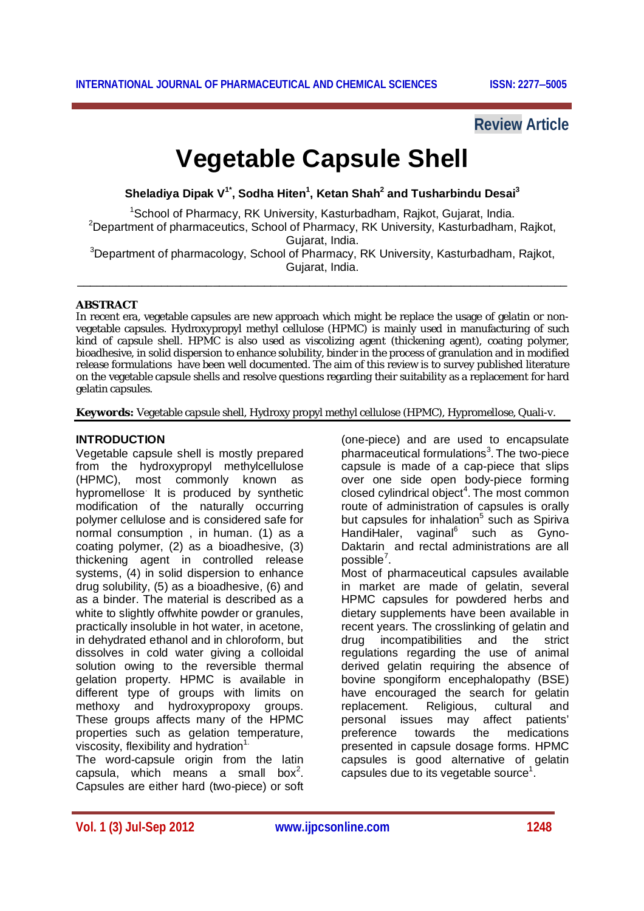## **Review Article**

# **Vegetable Capsule Shell**

**Sheladiya Dipak V1\* , Sodha Hiten<sup>1</sup> , Ketan Shah<sup>2</sup> and Tusharbindu Desai<sup>3</sup>**

<sup>1</sup>School of Pharmacy, RK University, Kasturbadham, Rajkot, Gujarat, India. <sup>2</sup>Department of pharmaceutics, School of Pharmacy, RK University, Kasturbadham, Rajkot, Gujarat, India.

<sup>3</sup>Department of pharmacology, School of Pharmacy, RK University, Kasturbadham, Rajkot, Gujarat, India. \_\_\_\_\_\_\_\_\_\_\_\_\_\_\_\_\_\_\_\_\_\_\_\_\_\_\_\_\_\_\_\_\_\_\_\_\_\_\_\_\_\_\_\_\_\_\_\_\_\_\_\_\_\_\_\_\_\_\_\_\_\_\_\_\_\_\_\_\_\_\_\_\_\_\_\_

#### **ABSTRACT**

In recent era, vegetable capsules are new approach which might be replace the usage of gelatin or nonvegetable capsules. Hydroxypropyl methyl cellulose (HPMC) is mainly used in manufacturing of such kind of capsule shell. HPMC is also used as viscolizing agent (thickening agent), coating polymer, bioadhesive, in solid dispersion to enhance solubility, binder in the process of granulation and in modified release formulations have been well documented. The aim of this review is to survey published literature on the vegetable capsule shells and resolve questions regarding their suitability as a replacement for hard gelatin capsules.

**Keywords:** Vegetable capsule shell, Hydroxy propyl methyl cellulose (HPMC), Hypromellose, Quali-v.

#### **INTRODUCTION**

Vegetable capsule shell is mostly prepared from the hydroxypropyl methylcellulose (HPMC), most commonly known as hypromellose. It is produced by synthetic modification of the naturally occurring polymer cellulose and is considered safe for normal consumption , in human. (1) as a coating polymer, (2) as a bioadhesive, (3) thickening agent in controlled release systems, (4) in solid dispersion to enhance drug solubility, (5) as a bioadhesive, (6) and as a binder. The material is described as a white to slightly of fwhite powder or granules, practically insoluble in hot water, in acetone, in dehydrated ethanol and in chloroform, but dissolves in cold water giving a colloidal solution owing to the reversible thermal gelation property. HPMC is available in different type of groups with limits on methoxy and hydroxypropoxy groups. These groups affects many of the HPMC properties such as gelation temperature, viscosity, flexibility and hydration $1$ .

The word-capsule origin from the latin capsula, which means a small box<sup>2</sup>. Capsules are either hard (two-piece) or soft (one-piece) and are used to encapsulate pharmaceutical formulations<sup>3</sup>. The two-piece capsule is made of a cap-piece that slips over one side open body-piece forming closed cylindrical object<sup>4</sup>. The most common route of administration of capsules is orally but capsules for inhalation<sup>5</sup> such as Spiriva HandiHaler, vaginal<sup>6</sup> such as Gyno-Daktarin and rectal administrations are all possible<sup>7</sup>.

Most of pharmaceutical capsules available in market are made of gelatin, several HPMC capsules for powdered herbs and dietary supplements have been available in recent years. The crosslinking of gelatin and drug incompatibilities and the strict regulations regarding the use of animal derived gelatin requiring the absence of bovine spongiform encephalopathy (BSE) have encouraged the search for gelatin replacement. Religious, cultural and personal issues may affect patients' preference towards the medications presented in capsule dosage forms. HPMC capsules is good alternative of gelatin capsules due to its vegetable source<sup>1</sup>.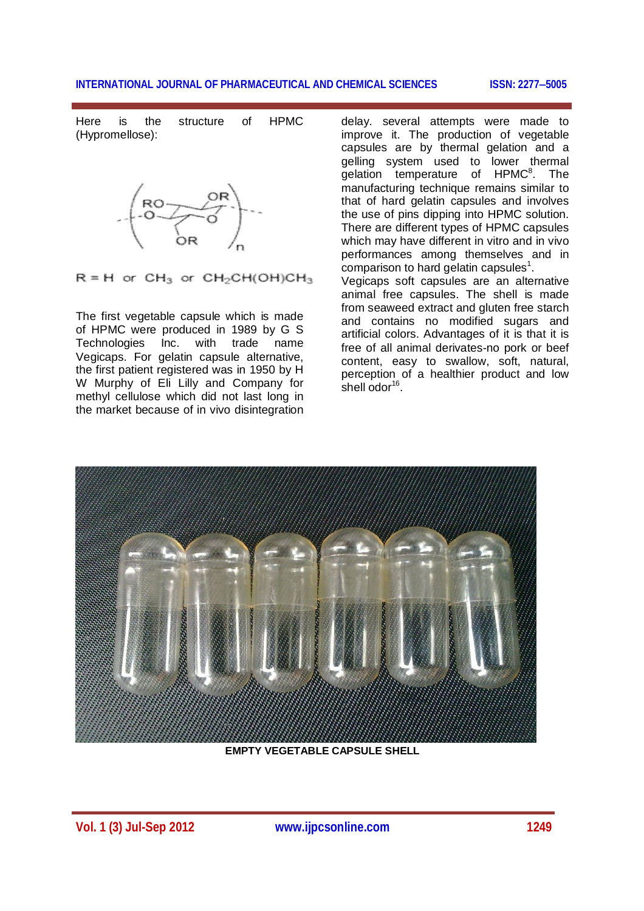Here is the structure of HPMC (Hypromellose):



 $R = H$  or  $CH<sub>3</sub>$  or  $CH<sub>2</sub>CH(OH)CH<sub>3</sub>$ 

The first vegetable capsule which is made of HPMC were produced in 1989 by G S Technologies Inc. with trade name Vegicaps. For gelatin capsule alternative, the first patient registered was in 1950 by H W Murphy of Eli Lilly and Company for methyl cellulose which did not last long in the market because of in vivo disintegration delay. several attempts were made to improve it. The production of vegetable capsules are by thermal gelation and a gelling system used to lower thermal gelation temperature of HPMC<sup>8</sup>. The manufacturing technique remains similar to that of hard gelatin capsules and involves the use of pins dipping into HPMC solution. There are different types of HPMC capsules which may have different in vitro and in vivo performances among themselves and in comparison to hard gelatin capsules<sup>1</sup>. Vegicaps soft capsules are an alternative animal free capsules. The shell is made

from seaweed extract and gluten free starch and contains no modified sugars and artificial colors. Advantages of it is that it is free of all animal derivates-no pork or beef content, easy to swallow, soft, natural, perception of a healthier product and low shell odor<sup>16</sup>.



**EMPTY VEGETABLE CAPSULE SHELL**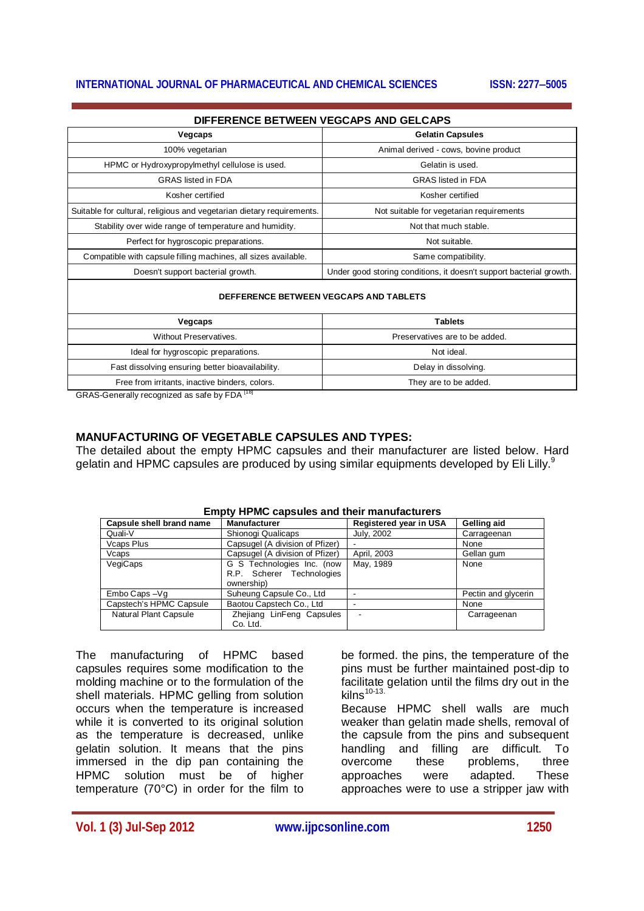| DIFFERENCE BETWEEN VEGCAPS AND GELCAPS                                |                                                                     |  |  |  |
|-----------------------------------------------------------------------|---------------------------------------------------------------------|--|--|--|
| Vegcaps                                                               | <b>Gelatin Capsules</b>                                             |  |  |  |
| 100% vegetarian                                                       | Animal derived - cows, bovine product                               |  |  |  |
| HPMC or Hydroxypropylmethyl cellulose is used.                        | Gelatin is used.                                                    |  |  |  |
| <b>GRAS</b> listed in FDA                                             | <b>GRAS</b> listed in FDA                                           |  |  |  |
| Kosher certified                                                      | Kosher certified                                                    |  |  |  |
| Suitable for cultural, religious and vegetarian dietary requirements. | Not suitable for vegetarian requirements                            |  |  |  |
| Stability over wide range of temperature and humidity.                | Not that much stable.                                               |  |  |  |
| Perfect for hygroscopic preparations.                                 | Not suitable.                                                       |  |  |  |
| Compatible with capsule filling machines, all sizes available.        | Same compatibility.                                                 |  |  |  |
| Doesn't support bacterial growth.                                     | Under good storing conditions, it doesn't support bacterial growth. |  |  |  |
|                                                                       |                                                                     |  |  |  |

#### **DEFFERENCE BETWEEN VEGCAPS AND TABLETS**

| Vegcaps                                          | <b>Tablets</b>                 |
|--------------------------------------------------|--------------------------------|
| Without Preservatives.                           | Preservatives are to be added. |
| Ideal for hygroscopic preparations.              | Not ideal.                     |
| Fast dissolving ensuring better bioavailability. | Delay in dissolving.           |
| Free from irritants, inactive binders, colors.   | They are to be added.          |
| ODAOOC                                           |                                |

GRAS-Generally recognized as safe by FDA<sup>1181</sup>

#### **MANUFACTURING OF VEGETABLE CAPSULES AND TYPES:**

The detailed about the empty HPMC capsules and their manufacturer are listed below. Hard gelatin and HPMC capsules are produced by using similar equipments developed by Eli Lilly.<sup>9</sup>

| Emply Firm Capsules and their manufacturers |                                                                       |                               |                     |  |  |  |
|---------------------------------------------|-----------------------------------------------------------------------|-------------------------------|---------------------|--|--|--|
| Capsule shell brand name                    | <b>Manufacturer</b>                                                   | <b>Registered year in USA</b> | Gelling aid         |  |  |  |
| Quali-V                                     | Shionogi Qualicaps                                                    | July, 2002                    | Carrageenan         |  |  |  |
| Vcaps Plus                                  | Capsugel (A division of Pfizer)                                       |                               | None                |  |  |  |
| Vcaps                                       | Capsugel (A division of Pfizer)                                       | April, 2003                   | Gellan gum          |  |  |  |
| VegiCaps                                    | G S Technologies Inc. (now<br>R.P. Scherer Technologies<br>ownership) | May, 1989                     | None                |  |  |  |
| Embo Caps-Vg                                | Suheung Capsule Co., Ltd                                              |                               | Pectin and glycerin |  |  |  |
| Capstech's HPMC Capsule                     | Baotou Capstech Co., Ltd                                              |                               | None                |  |  |  |
| Natural Plant Capsule                       | Zhejiang LinFeng Capsules<br>Co. Ltd.                                 |                               | Carrageenan         |  |  |  |

#### **Empty HPMC capsules and their manufacturers**

The manufacturing of HPMC based capsules requires some modification to the molding machine or to the formulation of the shell materials. HPMC gelling from solution occurs when the temperature is increased while it is converted to its original solution as the temperature is decreased, unlike gelatin solution. It means that the pins immersed in the dip pan containing the HPMC solution must be of higher temperature (70°C) in order for the film to

be formed. the pins, the temperature of the pins must be further maintained post-dip to facilitate gelation until the films dry out in the kilns $10-13$ 

Because HPMC shell walls are much weaker than gelatin made shells, removal of the capsule from the pins and subsequent handling and filling are difficult. To overcome these problems, three approaches were adapted. These approaches were to use a stripper jaw with

**Vol. 1 (3) Jul-Sep 2012 www.ijpcsonline.com 1250**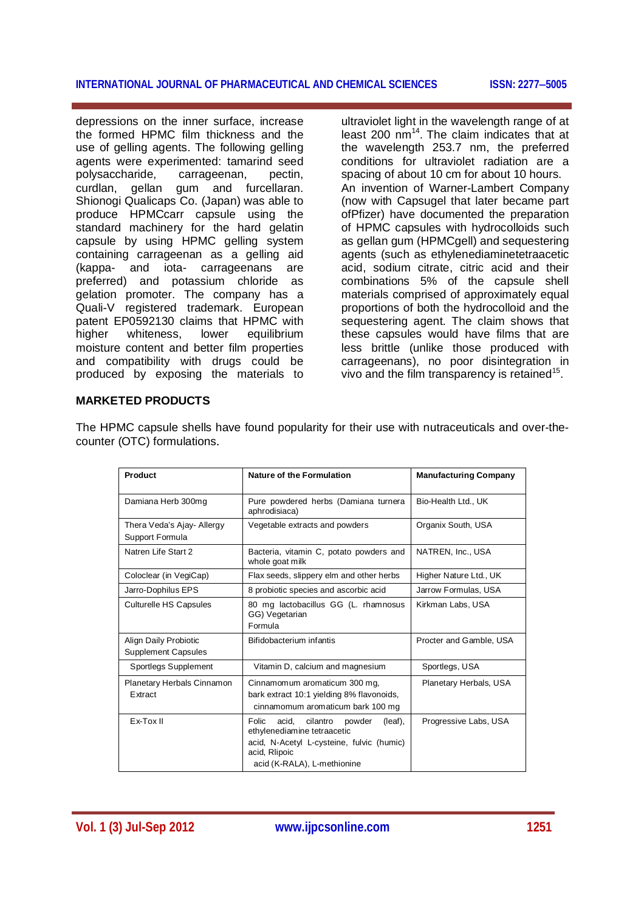depressions on the inner surface, increase the formed HPMC film thickness and the use of gelling agents. The following gelling agents were experimented: tamarind seed polysaccharide, carrageenan, pectin,<br>curdlan. qellan qum and furcellaran. gellan gum and furcellaran. Shionogi Qualicaps Co. (Japan) was able to produce HPMCcarr capsule using the standard machinery for the hard gelatin capsule by using HPMC gelling system containing carrageenan as a gelling aid (kappa- and iota- carrageenans are preferred) and potassium chloride as gelation promoter. The company has a Quali-V registered trademark. European patent EP0592130 claims that HPMC with higher whiteness, lower equilibrium moisture content and better film properties and compatibility with drugs could be produced by exposing the materials to ultraviolet light in the wavelength range of at least 200 nm<sup>14</sup>. The claim indicates that at the wavelength 253.7 nm, the preferred conditions for ultraviolet radiation are a spacing of about 10 cm for about 10 hours. An invention of Warner-Lambert Company (now with Capsugel that later became part ofPfizer) have documented the preparation of HPMC capsules with hydrocolloids such as gellan gum (HPMCgell) and sequestering agents (such as ethylenediaminetetraacetic acid, sodium citrate, citric acid and their combinations 5% of the capsule shell materials comprised of approximately equal proportions of both the hydrocolloid and the sequestering agent. The claim shows that these capsules would have films that are less brittle (unlike those produced with carrageenans), no poor disintegration in vivo and the film transparency is retained<sup>15</sup>.

#### **MARKETED PRODUCTS**

The HPMC capsule shells have found popularity for their use with nutraceuticals and over-thecounter (OTC) formulations.

| Product                                             | <b>Nature of the Formulation</b>                                                                                                                                            | <b>Manufacturing Company</b> |  |
|-----------------------------------------------------|-----------------------------------------------------------------------------------------------------------------------------------------------------------------------------|------------------------------|--|
| Damiana Herb 300mg                                  | Pure powdered herbs (Damiana turnera<br>aphrodisiaca)                                                                                                                       | Bio-Health Ltd., UK          |  |
| Thera Veda's Ajay- Allergy<br>Support Formula       | Vegetable extracts and powders                                                                                                                                              | Organix South, USA           |  |
|                                                     |                                                                                                                                                                             |                              |  |
| Natren Life Start 2                                 | Bacteria, vitamin C, potato powders and<br>whole goat milk                                                                                                                  | NATREN, Inc., USA            |  |
| Coloclear (in VegiCap)                              | Flax seeds, slippery elm and other herbs                                                                                                                                    | Higher Nature Ltd., UK       |  |
| Jarro-Dophilus EPS                                  | 8 probiotic species and ascorbic acid                                                                                                                                       | Jarrow Formulas, USA         |  |
| <b>Culturelle HS Capsules</b>                       | 80 mg lactobacillus GG (L. rhamnosus<br>GG) Vegetarian<br>Formula                                                                                                           | Kirkman Labs, USA            |  |
| Align Daily Probiotic<br><b>Supplement Capsules</b> | Bifidobacterium infantis                                                                                                                                                    | Procter and Gamble, USA      |  |
| Sportlegs Supplement                                | Vitamin D, calcium and magnesium                                                                                                                                            | Sportlegs, USA               |  |
| Planetary Herbals Cinnamon<br>Extract               | Cinnamomum aromaticum 300 mg,<br>bark extract 10:1 yielding 8% flavonoids,<br>cinnamomum aromaticum bark 100 mg                                                             | Planetary Herbals, USA       |  |
| Ex-Tox II                                           | Folic<br>acid.<br>cilantro<br>powder<br>(leaf),<br>ethylenediamine tetraacetic<br>acid, N-Acetyl L-cysteine, fulvic (humic)<br>acid, Rlipoic<br>acid (K-RALA), L-methionine | Progressive Labs, USA        |  |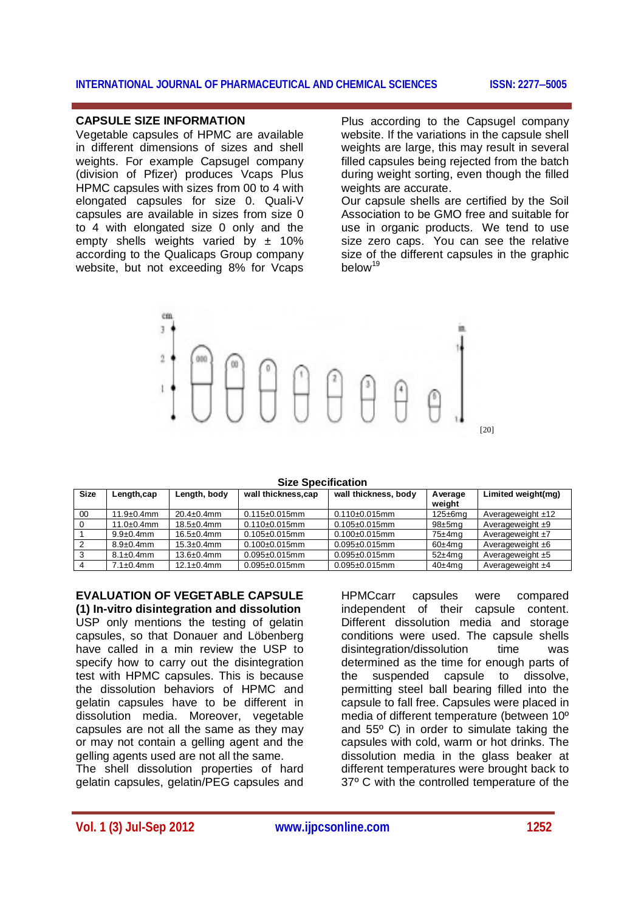#### **CAPSULE SIZE INFORMATION**

Vegetable capsules of HPMC are available in different dimensions of sizes and shell weights. For example Capsugel company (division of Pfizer) produces Vcaps Plus HPMC capsules with sizes from 00 to 4 with elongated capsules for size 0. Quali-V capsules are available in sizes from size 0 to 4 with elongated size 0 only and the empty shells weights varied by  $\pm$  10% according to the Qualicaps Group company website, but not exceeding 8% for Vcaps

Plus according to the Capsugel company website. If the variations in the capsule shell weights are large, this may result in several filled capsules being rejected from the batch during weight sorting, even though the filled weights are accurate.

Our capsule shells are certified by the Soil Association to be GMO free and suitable for use in organic products. We tend to use size zero caps. You can see the relative size of the different capsules in the graphic below<sup>19</sup>



**Size Specification**

| <b>Size</b> | Length, cap       | Length, body      | wall thickness,cap   | wall thickness, body | Average<br>weight | Limited weight(mg)  |
|-------------|-------------------|-------------------|----------------------|----------------------|-------------------|---------------------|
| 00          | $11.9 \pm 0.4$ mm | $20.4 \pm 0.4$ mm | $0.115 \pm 0.015$ mm | $0.110+0.015$ mm     | $125 \pm 6$ mg    | Averageweight $±12$ |
|             | $11.0 \pm 0.4$ mm | $18.5 \pm 0.4$ mm | $0.110+0.015$ mm     | $0.105 \pm 0.015$ mm | $98±5$ mg         | Averageweight $±9$  |
|             | $9.9 \pm 0.4$ mm  | $16.5 \pm 0.4$ mm | $0.105 \pm 0.015$ mm | $0.100 + 0.015$ mm   | $75±4$ mg         | Averageweight $±7$  |
|             | $8.9 \pm 0.4$ mm  | $15.3 \pm 0.4$ mm | $0.100+0.015$ mm     | $0.095 \pm 0.015$ mm | $60\pm4$ ma       | Averageweight ±6    |
|             | $8.1 \pm 0.4$ mm  | $13.6 \pm 0.4$ mm | $0.095 \pm 0.015$ mm | $0.095 \pm 0.015$ mm | $52\pm4$ mg       | Averageweight $±5$  |
|             | $7.1 \pm 0.4$ mm  | $12.1 \pm 0.4$ mm | $0.095 \pm 0.015$ mm | $0.095 \pm 0.015$ mm | $40\pm4$ ma       | Averageweight ±4    |

#### **EVALUATION OF VEGETABLE CAPSULE (1) In-vitro disintegration and dissolution**

USP only mentions the testing of gelatin capsules, so that Donauer and Löbenberg have called in a min review the USP to specify how to carry out the disintegration test with HPMC capsules. This is because the dissolution behaviors of HPMC and gelatin capsules have to be different in dissolution media. Moreover, vegetable capsules are not all the same as they may or may not contain a gelling agent and the gelling agents used are not all the same.

The shell dissolution properties of hard gelatin capsules, gelatin/PEG capsules and HPMCcarr capsules were compared independent of their capsule content. Different dissolution media and storage conditions were used. The capsule shells disintegration/dissolution time was determined as the time for enough parts of the suspended capsule to dissolve, permitting steel ball bearing filled into the capsule to fall free. Capsules were placed in media of different temperature (between 10º and 55º C) in order to simulate taking the capsules with cold, warm or hot drinks. The dissolution media in the glass beaker at different temperatures were brought back to 37º C with the controlled temperature of the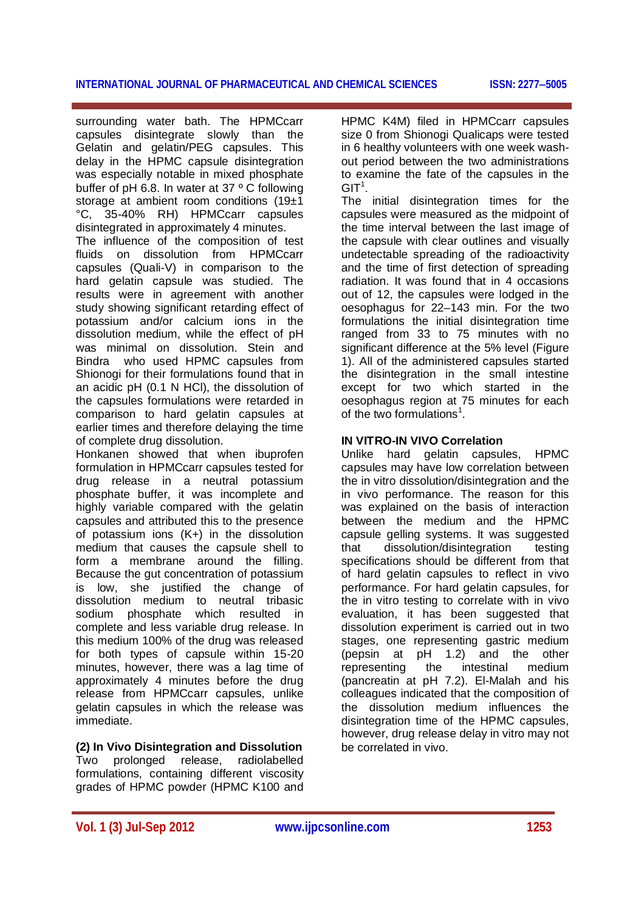surrounding water bath. The HPMCcarr capsules disintegrate slowly than the Gelatin and gelatin/PEG capsules. This delay in the HPMC capsule disintegration was especially notable in mixed phosphate buffer of pH 6.8. In water at 37 º C following storage at ambient room conditions (19±1 °C, 35-40% RH) HPMCcarr capsules disintegrated in approximately 4 minutes.

The influence of the composition of test fluids on dissolution from HPMCcarr capsules (Quali-V) in comparison to the hard gelatin capsule was studied. The results were in agreement with another study showing significant retarding effect of potassium and/or calcium ions in the dissolution medium, while the effect of pH was minimal on dissolution. Stein and Bindra who used HPMC capsules from Shionogi for their formulations found that in an acidic pH (0.1 N HCl), the dissolution of the capsules formulations were retarded in comparison to hard gelatin capsules at earlier times and therefore delaying the time of complete drug dissolution.

Honkanen showed that when ibuprofen formulation in HPMCcarr capsules tested for drug release in a neutral potassium phosphate buffer, it was incomplete and highly variable compared with the gelatin capsules and attributed this to the presence of potassium ions (K+) in the dissolution medium that causes the capsule shell to form a membrane around the filling. Because the gut concentration of potassium is low, she justified the change of dissolution medium to neutral tribasic sodium phosphate which resulted in complete and less variable drug release. In this medium 100% of the drug was released for both types of capsule within 15-20 minutes, however, there was a lag time of approximately 4 minutes before the drug release from HPMCcarr capsules, unlike gelatin capsules in which the release was immediate.

**(2) In Vivo Disintegration and Dissolution** Two prolonged release, radiolabelled formulations, containing different viscosity grades of HPMC powder (HPMC K100 and

HPMC K4M) filed in HPMCcarr capsules size 0 from Shionogi Qualicaps were tested in 6 healthy volunteers with one week washout period between the two administrations to examine the fate of the capsules in the  $\mathsf{GIT}^1.$ 

The initial disintegration times for the capsules were measured as the midpoint of the time interval between the last image of the capsule with clear outlines and visually undetectable spreading of the radioactivity and the time of first detection of spreading radiation. It was found that in 4 occasions out of 12, the capsules were lodged in the oesophagus for 22–143 min. For the two formulations the initial disintegration time ranged from 33 to 75 minutes with no significant difference at the 5% level (Figure 1). All of the administered capsules started the disintegration in the small intestine except for two which started in the oesophagus region at 75 minutes for each of the two formulations<sup>1</sup>.

#### **IN VITRO-IN VIVO Correlation**

Unlike hard gelatin capsules, HPMC capsules may have low correlation between the in vitro dissolution/disintegration and the in vivo performance. The reason for this was explained on the basis of interaction between the medium and the HPMC capsule gelling systems. It was suggested that dissolution/disintegration testing specifications should be different from that of hard gelatin capsules to reflect in vivo performance. For hard gelatin capsules, for the in vitro testing to correlate with in vivo evaluation, it has been suggested that dissolution experiment is carried out in two stages, one representing gastric medium (pepsin at pH 1.2) and the other representing the intestinal medium (pancreatin at pH 7.2). El-Malah and his colleagues indicated that the composition of the dissolution medium influences the disintegration time of the HPMC capsules, however, drug release delay in vitro may not be correlated in vivo.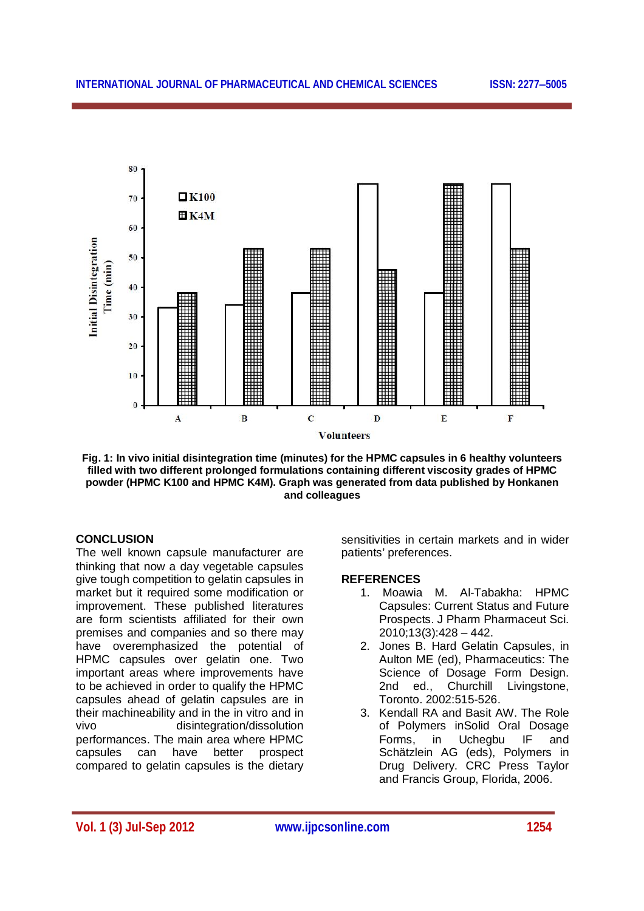

**Fig. 1: In vivo initial disintegration time (minutes) for the HPMC capsules in 6 healthy volunteers filled with two different prolonged formulations containing different viscosity grades of HPMC powder (HPMC K100 and HPMC K4M). Graph was generated from data published by Honkanen and colleagues**

### **CONCLUSION**

The well known capsule manufacturer are thinking that now a day vegetable capsules give tough competition to gelatin capsules in market but it required some modification or improvement. These published literatures are form scientists affiliated for their own premises and companies and so there may have overemphasized the potential of HPMC capsules over gelatin one. Two important areas where improvements have to be achieved in order to qualify the HPMC capsules ahead of gelatin capsules are in their machineability and in the in vitro and in vivo disintegration/dissolution performances. The main area where HPMC capsules can have better prospect compared to gelatin capsules is the dietary

sensitivities in certain markets and in wider patients' preferences.

#### **REFERENCES**

- 1. Moawia M. Al-Tabakha: HPMC Capsules: Current Status and Future Prospects. J Pharm Pharmaceut Sci. 2010;13(3):428 – 442.
- 2. Jones B. Hard Gelatin Capsules, in Aulton ME (ed), Pharmaceutics: The Science of Dosage Form Design. 2nd ed., Churchill Livingstone, Toronto. 2002:515-526.
- 3. Kendall RA and Basit AW. The Role of Polymers inSolid Oral Dosage Forms, in Uchegbu IF and Schätzlein AG (eds), Polymers in Drug Delivery. CRC Press Taylor and Francis Group, Florida, 2006.